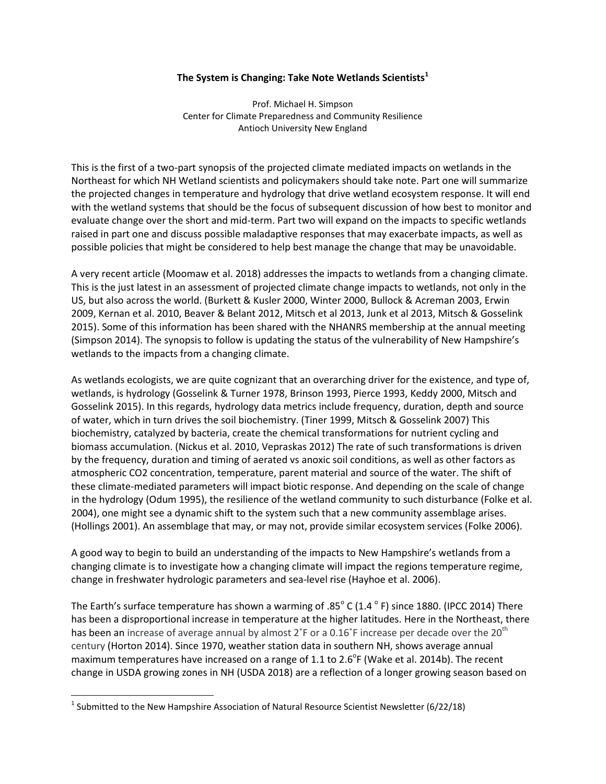## **The System is Changing: Take Note Wetlands Scientists<sup>1</sup>**

Prof. Michael H. Simpson Center for Climate Preparedness and Community Resilience Antioch University New England

This is the first of a two-part synopsis of the projected climate mediated impacts on wetlands in the Northeast for which NH Wetland scientists and policymakers should take note. Part one will summarize the projected changes in temperature and hydrology that drive wetland ecosystem response. It will end with the wetland systems that should be the focus of subsequent discussion of how best to monitor and evaluate change over the short and mid-term. Part two will expand on the impacts to specific wetlands raised in part one and discuss possible maladaptive responses that may exacerbate impacts, as well as possible policies that might be considered to help best manage the change that may be unavoidable.

A very recent article (Moomaw et al. 2018) addresses the impacts to wetlands from a changing climate. This is the just latest in an assessment of projected climate change impacts to wetlands, not only in the US, but also across the world. (Burkett & Kusler 2000, Winter 2000, Bullock & Acreman 2003, Erwin 2009, Kernan et al. 2010, Beaver & Belant 2012, Mitsch et al 2013, Junk et al 2013, Mitsch & Gosselink 2015). Some of this information has been shared with the NHANRS membership at the annual meeting (Simpson 2014). The synopsis to follow is updating the status of the vulnerability of New Hampshire's wetlands to the impacts from a changing climate.

As wetlands ecologists, we are quite cognizant that an overarching driver for the existence, and type of, wetlands, is hydrology (Gosselink & Turner 1978, Brinson 1993, Pierce 1993, Keddy 2000, Mitsch and Gosselink 2015). In this regards, hydrology data metrics include frequency, duration, depth and source of water, which in turn drives the soil biochemistry. (Tiner 1999, Mitsch & Gosselink 2007) This biochemistry, catalyzed by bacteria, create the chemical transformations for nutrient cycling and biomass accumulation. (Nickus et al. 2010, Vepraskas 2012) The rate of such transformations is driven by the frequency, duration and timing of aerated vs anoxic soil conditions, as well as other factors as atmospheric CO2 concentration, temperature, parent material and source of the water. The shift of these climate-mediated parameters will impact biotic response. And depending on the scale of change in the hydrology (Odum 1995), the resilience of the wetland community to such disturbance (Folke et al. 2004), one might see a dynamic shift to the system such that a new community assemblage arises. (Hollings 2001). An assemblage that may, or may not, provide similar ecosystem services (Folke 2006).

A good way to begin to build an understanding of the impacts to New Hampshire's wetlands from a changing climate is to investigate how a changing climate will impact the regions temperature regime, change in freshwater hydrologic parameters and sea-level rise (Hayhoe et al. 2006).

The Earth's surface temperature has shown a warming of .85 $^{\circ}$  C (1.4  $^{\circ}$  F) since 1880. (IPCC 2014) There has been a disproportional increase in temperature at the higher latitudes. Here in the Northeast, there has been an increase of average annual by almost  $2<sup>°</sup>F$  or a 0.16 $<sup>°</sup>F$  increase per decade over the 20<sup>th</sup></sup> century (Horton 2014). Since 1970, weather station data in southern NH, shows average annual maximum temperatures have increased on a range of 1.1 to 2.6<sup>o</sup>F (Wake et al. 2014b). The recent change in USDA growing zones in NH (USDA 2018) are a reflection of a longer growing season based on

 $\overline{\phantom{a}}$ 

<sup>&</sup>lt;sup>1</sup> Submitted to the New Hampshire Association of Natural Resource Scientist Newsletter (6/22/18)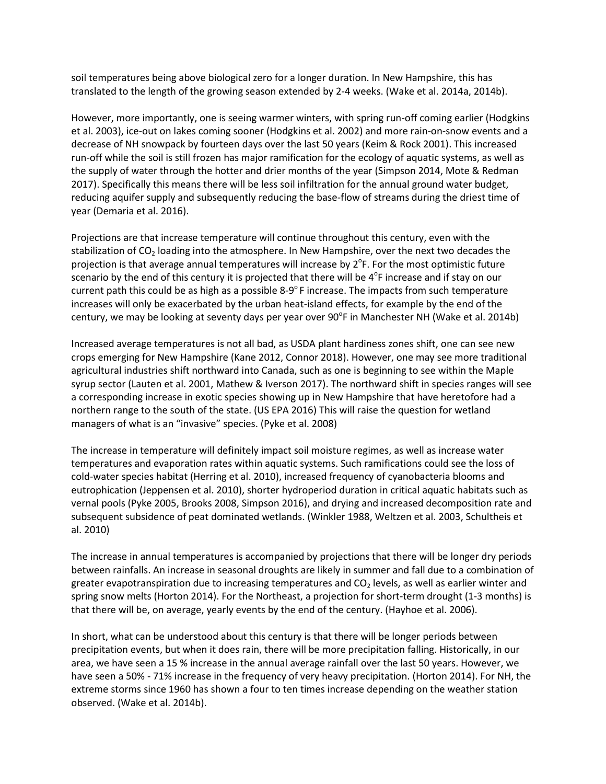soil temperatures being above biological zero for a longer duration. In New Hampshire, this has translated to the length of the growing season extended by 2-4 weeks. (Wake et al. 2014a, 2014b).

However, more importantly, one is seeing warmer winters, with spring run-off coming earlier (Hodgkins et al. 2003), ice-out on lakes coming sooner (Hodgkins et al. 2002) and more rain-on-snow events and a decrease of NH snowpack by fourteen days over the last 50 years (Keim & Rock 2001). This increased run-off while the soil is still frozen has major ramification for the ecology of aquatic systems, as well as the supply of water through the hotter and drier months of the year (Simpson 2014, Mote & Redman 2017). Specifically this means there will be less soil infiltration for the annual ground water budget, reducing aquifer supply and subsequently reducing the base-flow of streams during the driest time of year (Demaria et al. 2016).

Projections are that increase temperature will continue throughout this century, even with the stabilization of  $CO<sub>2</sub>$  loading into the atmosphere. In New Hampshire, over the next two decades the projection is that average annual temperatures will increase by  $2^{\circ}$ F. For the most optimistic future scenario by the end of this century it is projected that there will be  $4^{\circ}$ F increase and if stay on our current path this could be as high as a possible  $8-9^{\circ}$  F increase. The impacts from such temperature increases will only be exacerbated by the urban heat-island effects, for example by the end of the century, we may be looking at seventy days per year over 90<sup>°</sup>F in Manchester NH (Wake et al. 2014b)

Increased average temperatures is not all bad, as USDA plant hardiness zones shift, one can see new crops emerging for New Hampshire (Kane 2012, Connor 2018). However, one may see more traditional agricultural industries shift northward into Canada, such as one is beginning to see within the Maple syrup sector (Lauten et al. 2001, Mathew & Iverson 2017). The northward shift in species ranges will see a corresponding increase in exotic species showing up in New Hampshire that have heretofore had a northern range to the south of the state. (US EPA 2016) This will raise the question for wetland managers of what is an "invasive" species. (Pyke et al. 2008)

The increase in temperature will definitely impact soil moisture regimes, as well as increase water temperatures and evaporation rates within aquatic systems. Such ramifications could see the loss of cold-water species habitat (Herring et al. 2010), increased frequency of cyanobacteria blooms and eutrophication (Jeppensen et al. 2010), shorter hydroperiod duration in critical aquatic habitats such as vernal pools (Pyke 2005, Brooks 2008, Simpson 2016), and drying and increased decomposition rate and subsequent subsidence of peat dominated wetlands. (Winkler 1988, Weltzen et al. 2003, Schultheis et al. 2010)

The increase in annual temperatures is accompanied by projections that there will be longer dry periods between rainfalls. An increase in seasonal droughts are likely in summer and fall due to a combination of greater evapotranspiration due to increasing temperatures and  $CO<sub>2</sub>$  levels, as well as earlier winter and spring snow melts (Horton 2014). For the Northeast, a projection for short-term drought (1-3 months) is that there will be, on average, yearly events by the end of the century. (Hayhoe et al. 2006).

In short, what can be understood about this century is that there will be longer periods between precipitation events, but when it does rain, there will be more precipitation falling. Historically, in our area, we have seen a 15 % increase in the annual average rainfall over the last 50 years. However, we have seen a 50% - 71% increase in the frequency of very heavy precipitation. (Horton 2014). For NH, the extreme storms since 1960 has shown a four to ten times increase depending on the weather station observed. (Wake et al. 2014b).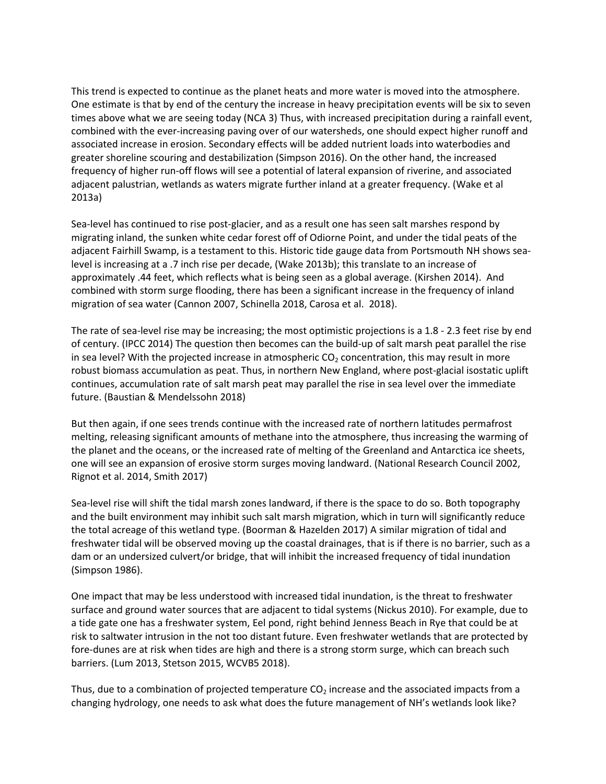This trend is expected to continue as the planet heats and more water is moved into the atmosphere. One estimate is that by end of the century the increase in heavy precipitation events will be six to seven times above what we are seeing today (NCA 3) Thus, with increased precipitation during a rainfall event, combined with the ever-increasing paving over of our watersheds, one should expect higher runoff and associated increase in erosion. Secondary effects will be added nutrient loads into waterbodies and greater shoreline scouring and destabilization (Simpson 2016). On the other hand, the increased frequency of higher run-off flows will see a potential of lateral expansion of riverine, and associated adjacent palustrian, wetlands as waters migrate further inland at a greater frequency. (Wake et al 2013a)

Sea-level has continued to rise post-glacier, and as a result one has seen salt marshes respond by migrating inland, the sunken white cedar forest off of Odiorne Point, and under the tidal peats of the adjacent Fairhill Swamp, is a testament to this. Historic tide gauge data from Portsmouth NH shows sealevel is increasing at a .7 inch rise per decade, (Wake 2013b); this translate to an increase of approximately .44 feet, which reflects what is being seen as a global average. (Kirshen 2014). And combined with storm surge flooding, there has been a significant increase in the frequency of inland migration of sea water (Cannon 2007, Schinella 2018, Carosa et al. 2018).

The rate of sea-level rise may be increasing; the most optimistic projections is a 1.8 - 2.3 feet rise by end of century. (IPCC 2014) The question then becomes can the build-up of salt marsh peat parallel the rise in sea level? With the projected increase in atmospheric  $CO<sub>2</sub>$  concentration, this may result in more robust biomass accumulation as peat. Thus, in northern New England, where post-glacial isostatic uplift continues, accumulation rate of salt marsh peat may parallel the rise in sea level over the immediate future. (Baustian & Mendelssohn 2018)

But then again, if one sees trends continue with the increased rate of northern latitudes permafrost melting, releasing significant amounts of methane into the atmosphere, thus increasing the warming of the planet and the oceans, or the increased rate of melting of the Greenland and Antarctica ice sheets, one will see an expansion of erosive storm surges moving landward. (National Research Council 2002, Rignot et al. 2014, Smith 2017)

Sea-level rise will shift the tidal marsh zones landward, if there is the space to do so. Both topography and the built environment may inhibit such salt marsh migration, which in turn will significantly reduce the total acreage of this wetland type. (Boorman & Hazelden 2017) A similar migration of tidal and freshwater tidal will be observed moving up the coastal drainages, that is if there is no barrier, such as a dam or an undersized culvert/or bridge, that will inhibit the increased frequency of tidal inundation (Simpson 1986).

One impact that may be less understood with increased tidal inundation, is the threat to freshwater surface and ground water sources that are adjacent to tidal systems (Nickus 2010). For example, due to a tide gate one has a freshwater system, Eel pond, right behind Jenness Beach in Rye that could be at risk to saltwater intrusion in the not too distant future. Even freshwater wetlands that are protected by fore-dunes are at risk when tides are high and there is a strong storm surge, which can breach such barriers. (Lum 2013, Stetson 2015, WCVB5 2018).

Thus, due to a combination of projected temperature  $CO<sub>2</sub>$  increase and the associated impacts from a changing hydrology, one needs to ask what does the future management of NH's wetlands look like?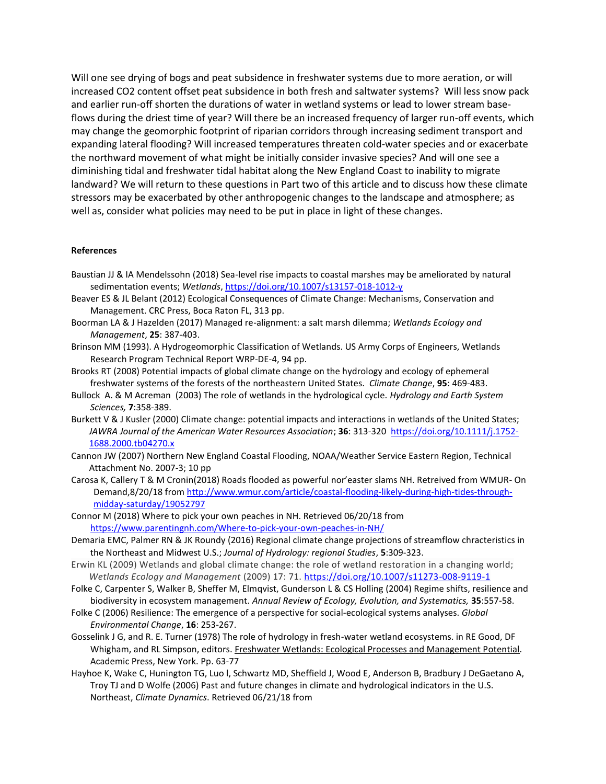Will one see drying of bogs and peat subsidence in freshwater systems due to more aeration, or will increased CO2 content offset peat subsidence in both fresh and saltwater systems? Will less snow pack and earlier run-off shorten the durations of water in wetland systems or lead to lower stream baseflows during the driest time of year? Will there be an increased frequency of larger run-off events, which may change the geomorphic footprint of riparian corridors through increasing sediment transport and expanding lateral flooding? Will increased temperatures threaten cold-water species and or exacerbate the northward movement of what might be initially consider invasive species? And will one see a diminishing tidal and freshwater tidal habitat along the New England Coast to inability to migrate landward? We will return to these questions in Part two of this article and to discuss how these climate stressors may be exacerbated by other anthropogenic changes to the landscape and atmosphere; as well as, consider what policies may need to be put in place in light of these changes.

## **References**

- Baustian JJ & IA Mendelssohn (2018) Sea-level rise impacts to coastal marshes may be ameliorated by natural sedimentation events; *Wetlands*[, https://doi.org/10.1007/s13157-018-1012-y](https://doi.org/10.1007/s13157-018-1012-y)
- Beaver ES & JL Belant (2012) Ecological Consequences of Climate Change: Mechanisms, Conservation and Management. CRC Press, Boca Raton FL, 313 pp.
- Boorman LA & J Hazelden (2017) Managed re-alignment: a salt marsh dilemma; *Wetlands Ecology and Management*, **25**: 387-403.
- Brinson MM (1993). A Hydrogeomorphic Classification of Wetlands. US Army Corps of Engineers, Wetlands Research Program Technical Report WRP-DE-4, 94 pp.
- Brooks RT (2008) Potential impacts of global climate change on the hydrology and ecology of ephemeral freshwater systems of the forests of the northeastern United States. *Climate Change*, **95**: 469-483.
- Bullock A. & M Acreman (2003) The role of wetlands in the hydrological cycle. *Hydrology and Earth System Sciences,* **7**:358-389.
- Burkett V & J Kusler (2000) Climate change: potential impacts and interactions in wetlands of the United States; *JAWRA Journal of the American Water Resources Association*; **36**: 313-320 [https://doi.org/10.1111/j.1752-](https://doi.org/10.1111/j.1752-1688.2000.tb04270.x) [1688.2000.tb04270.x](https://doi.org/10.1111/j.1752-1688.2000.tb04270.x)
- Cannon JW (2007) Northern New England Coastal Flooding, NOAA/Weather Service Eastern Region, Technical Attachment No. 2007-3; 10 pp
- Carosa K, Callery T & M Cronin(2018) Roads flooded as powerful nor'easter slams NH. Retreived from WMUR- On Demand,8/20/18 from [http://www.wmur.com/article/coastal-flooding-likely-during-high-tides-through](http://www.wmur.com/article/coastal-flooding-likely-during-high-tides-through-midday-saturday/19052797)[midday-saturday/19052797](http://www.wmur.com/article/coastal-flooding-likely-during-high-tides-through-midday-saturday/19052797)
- Connor M (2018) Where to pick your own peaches in NH. Retrieved 06/20/18 from <https://www.parentingnh.com/Where-to-pick-your-own-peaches-in-NH/>
- Demaria EMC, Palmer RN & JK Roundy (2016) Regional climate change projections of streamflow chracteristics in the Northeast and Midwest U.S.; *Journal of Hydrology: regional Studies*, **5**:309-323.
- Erwin KL (2009) Wetlands and global climate change: the role of wetland restoration in a changing world; *Wetlands Ecology and Management* (2009) 17: 71.<https://doi.org/10.1007/s11273-008-9119-1>
- Folke C, Carpenter S, Walker B, Sheffer M, Elmqvist, Gunderson L & CS Holling (2004) Regime shifts, resilience and biodiversity in ecosystem management. *Annual Review of Ecology, Evolution, and Systematics,* **35**:557-58.
- Folke C (2006) Resilience: The emergence of a perspective for social-ecological systems analyses. *Global Environmental Change*, **16**: 253-267.
- Gosselink J G, and R. E. Turner (1978) The role of hydrology in fresh-water wetland ecosystems. in RE Good, DF Whigham, and RL Simpson, editors. Freshwater Wetlands: Ecological Processes and Management Potential. Academic Press, New York. Pp. 63-77
- Hayhoe K, Wake C, Hunington TG, Luo l, Schwartz MD, Sheffield J, Wood E, Anderson B, Bradbury J DeGaetano A, Troy TJ and D Wolfe (2006) Past and future changes in climate and hydrological indicators in the U.S. Northeast, *Climate Dynamics*. Retrieved 06/21/18 from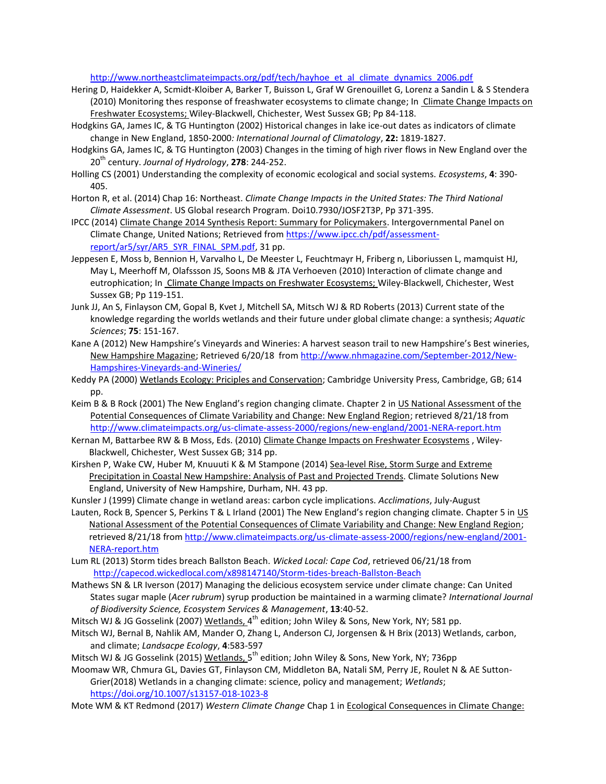## [http://www.northeastclimateimpacts.org/pdf/tech/hayhoe\\_et\\_al\\_climate\\_dynamics\\_2006.pdf](http://www.northeastclimateimpacts.org/pdf/tech/hayhoe_et_al_climate_dynamics_2006.pdf)

- Hering D, Haidekker A, Scmidt-Kloiber A, Barker T, Buisson L, Graf W Grenouillet G, Lorenz a Sandin L & S Stendera (2010) Monitoring thes response of freashwater ecosystems to climate change; In Climate Change Impacts on Freshwater Ecosystems; Wiley-Blackwell, Chichester, West Sussex GB; Pp 84-118.
- Hodgkins GA, James IC, & TG Huntington (2002) Historical changes in lake ice-out dates as indicators of climate change in New England, 1850-2000*: International Journal of Climatology*, **22:** 1819-1827.
- Hodgkins GA, James IC, & TG Huntington (2003) Changes in the timing of high river flows in New England over the 20th century. *Journal of Hydrology*, **278**: 244-252.
- Holling CS (2001) Understanding the complexity of economic ecological and social systems. *Ecosystems*, **4**: 390- 405.
- Horton R, et al. (2014) Chap 16: Northeast. *Climate Change Impacts in the United States: The Third National Climate Assessment*. US Global research Program. Doi10.7930/JOSF2T3P, Pp 371-395.
- IPCC (2014) Climate Change 2014 Synthesis Report: Summary for Policymakers. Intergovernmental Panel on Climate Change, United Nations; Retrieved from [https://www.ipcc.ch/pdf/assessment](https://www.ipcc.ch/pdf/assessment-report/ar5/syr/AR5_SYR_FINAL_SPM.pdf)[report/ar5/syr/AR5\\_SYR\\_FINAL\\_SPM.pdf,](https://www.ipcc.ch/pdf/assessment-report/ar5/syr/AR5_SYR_FINAL_SPM.pdf) 31 pp.
- Jeppesen E, Moss b, Bennion H, Varvalho L, De Meester L, Feuchtmayr H, Friberg n, Liboriussen L, mamquist HJ, May L, Meerhoff M, Olafssson JS, Soons MB & JTA Verhoeven (2010) Interaction of climate change and eutrophication; In Climate Change Impacts on Freshwater Ecosystems; Wiley-Blackwell, Chichester, West Sussex GB; Pp 119-151.
- Junk JJ, An S, Finlayson CM, Gopal B, Kvet J, Mitchell SA, Mitsch WJ & RD Roberts (2013) Current state of the knowledge regarding the worlds wetlands and their future under global climate change: a synthesis; *Aquatic Sciences*; **75**: 151-167.
- Kane A (2012) New Hampshire's Vineyards and Wineries: A harvest season trail to new Hampshire's Best wineries, New Hampshire Magazine; Retrieved 6/20/18 from [http://www.nhmagazine.com/September-2012/New-](http://www.nhmagazine.com/September-2012/New-Hampshires-Vineyards-and-Wineries/)[Hampshires-Vineyards-and-Wineries/](http://www.nhmagazine.com/September-2012/New-Hampshires-Vineyards-and-Wineries/)
- Keddy PA (2000) Wetlands Ecology: Priciples and Conservation; Cambridge University Press, Cambridge, GB; 614 pp.
- Keim B & B Rock (2001) The New England's region changing climate. Chapter 2 in US National Assessment of the Potential Consequences of Climate Variability and Change: New England Region; retrieved 8/21/18 from <http://www.climateimpacts.org/us-climate-assess-2000/regions/new-england/2001-NERA-report.htm>
- Kernan M, Battarbee RW & B Moss, Eds. (2010) Climate Change Impacts on Freshwater Ecosystems, Wiley-Blackwell, Chichester, West Sussex GB; 314 pp.
- Kirshen P, Wake CW, Huber M, Knuuuti K & M Stampone (2014) Sea-level Rise, Storm Surge and Extreme Precipitation in Coastal New Hampshire: Analysis of Past and Projected Trends. Climate Solutions New England, University of New Hampshire, Durham, NH. 43 pp.
- Kunsler J (1999) Climate change in wetland areas: carbon cycle implications. *Acclimations*, July-August
- Lauten, Rock B, Spencer S, Perkins T & L Irland (2001) The New England's region changing climate. Chapter 5 in US National Assessment of the Potential Consequences of Climate Variability and Change: New England Region; retrieved 8/21/18 from [http://www.climateimpacts.org/us-climate-assess-2000/regions/new-england/2001-](http://www.climateimpacts.org/us-climate-assess-2000/regions/new-england/2001-NERA-report.htm) [NERA-report.htm](http://www.climateimpacts.org/us-climate-assess-2000/regions/new-england/2001-NERA-report.htm)
- Lum RL (2013) Storm tides breach Ballston Beach. *Wicked Local: Cape Cod*, retrieved 06/21/18 from <http://capecod.wickedlocal.com/x898147140/Storm-tides-breach-Ballston-Beach>
- Mathews SN & LR Iverson (2017) Managing the delicious ecosystem service under climate change: Can United States sugar maple (*Acer rubrum*) syrup production be maintained in a warming climate? *International Journal of Biodiversity Science, Ecosystem Services & Management*, **13**:40-52.
- Mitsch WJ & JG Gosselink (2007) <u>Wetlands, 4<sup>th</sup> edition; John Wiley & Sons</u>, New York, NY; 581 pp.
- Mitsch WJ, Bernal B, Nahlik AM, Mander O, Zhang L, Anderson CJ, Jorgensen & H Brix (2013) Wetlands, carbon, and climate; *Landsacpe Ecology*, **4**:583-597
- Mitsch WJ & JG Gosselink (2015) <u>Wetlands, 5the edition; John Wiley & Sons</u>, New York, NY; 736pp

Moomaw WR, Chmura GL, Davies GT, Finlayson CM, Middleton BA, Natali SM, Perry JE, Roulet N & AE Sutton-Grier(2018) Wetlands in a changing climate: science, policy and management; *Wetlands*; <https://doi.org/10.1007/s13157-018-1023-8>

Mote WM & KT Redmond (2017) *Western Climate Change* Chap 1 in Ecological Consequences in Climate Change: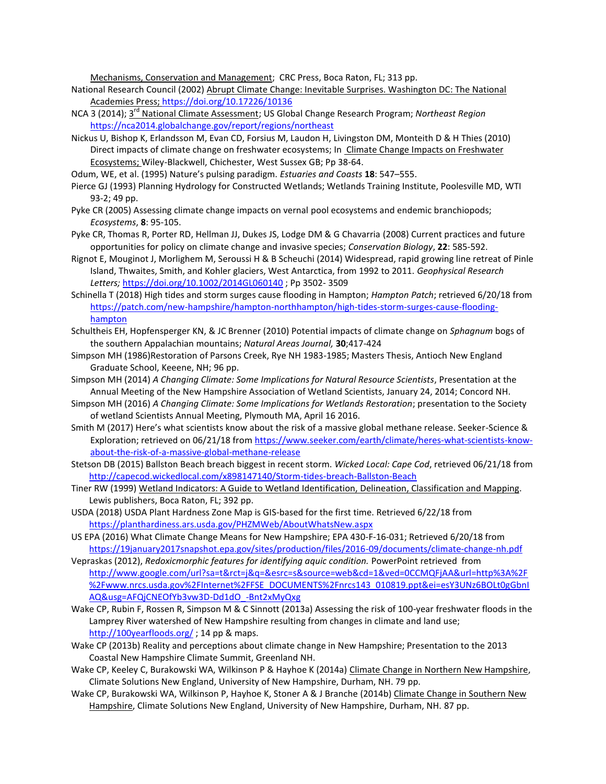Mechanisms, Conservation and Management; CRC Press, Boca Raton, FL; 313 pp.

- National Research Council (2002) Abrupt Climate Change: Inevitable Surprises. Washington DC: The National Academies Press;<https://doi.org/10.17226/10136>
- NCA 3 (2014); 3<sup>rd</sup> National Climate Assessment; US Global Change Research Program; Northeast Region <https://nca2014.globalchange.gov/report/regions/northeast>
- Nickus U, Bishop K, Erlandsson M, Evan CD, Forsius M, Laudon H, Livingston DM, Monteith D & H Thies (2010) Direct impacts of climate change on freshwater ecosystems; In Climate Change Impacts on Freshwater Ecosystems; Wiley-Blackwell, Chichester, West Sussex GB; Pp 38-64.
- Odum, WE, et al. (1995) Nature's pulsing paradigm. *Estuaries and Coasts* **18**: 547–555.
- Pierce GJ (1993) Planning Hydrology for Constructed Wetlands; Wetlands Training Institute, Poolesville MD, WTI 93-2; 49 pp.
- Pyke CR (2005) Assessing climate change impacts on vernal pool ecosystems and endemic branchiopods; *Ecosystems*, **8**: 95-105.
- Pyke CR, Thomas R, Porter RD, Hellman JJ, Dukes JS, Lodge DM & G Chavarria (2008) Current practices and future opportunities for policy on climate change and invasive species; *Conservation Biology*, **22**: 585-592.
- Rignot E, Mouginot J, Morlighem M, Seroussi H & B Scheuchi (2014) Widespread, rapid growing line retreat of Pinle Island, Thwaites, Smith, and Kohler glaciers, West Antarctica, from 1992 to 2011. *Geophysical Research Letters;* <https://doi.org/10.1002/2014GL060140> ; Pp 3502- 3509
- Schinella T (2018) High tides and storm surges cause flooding in Hampton; *Hampton Patch*; retrieved 6/20/18 from [https://patch.com/new-hampshire/hampton-northhampton/high-tides-storm-surges-cause-flooding](https://patch.com/new-hampshire/hampton-northhampton/high-tides-storm-surges-cause-flooding-hampton)[hampton](https://patch.com/new-hampshire/hampton-northhampton/high-tides-storm-surges-cause-flooding-hampton)
- Schultheis EH, Hopfensperger KN, & JC Brenner (2010) Potential impacts of climate change on *Sphagnum* bogs of the southern Appalachian mountains; *Natural Areas Journal,* **30**;417-424
- Simpson MH (1986)Restoration of Parsons Creek, Rye NH 1983-1985; Masters Thesis, Antioch New England Graduate School, Keeene, NH; 96 pp.
- Simpson MH (2014) *A Changing Climate: Some Implications for Natural Resource Scientists*, Presentation at the Annual Meeting of the New Hampshire Association of Wetland Scientists, January 24, 2014; Concord NH.
- Simpson MH (2016) *A Changing Climate: Some Implications for Wetlands Restoration*; presentation to the Society of wetland Scientists Annual Meeting, Plymouth MA, April 16 2016.
- Smith M (2017) Here's what scientists know about the risk of a massive global methane release. Seeker-Science & Exploration; retrieved on 06/21/18 fro[m https://www.seeker.com/earth/climate/heres-what-scientists-know](https://www.seeker.com/earth/climate/heres-what-scientists-know-about-the-risk-of-a-massive-global-methane-release)[about-the-risk-of-a-massive-global-methane-release](https://www.seeker.com/earth/climate/heres-what-scientists-know-about-the-risk-of-a-massive-global-methane-release)
- Stetson DB (2015) Ballston Beach breach biggest in recent storm. *Wicked Local: Cape Cod*, retrieved 06/21/18 from <http://capecod.wickedlocal.com/x898147140/Storm-tides-breach-Ballston-Beach>
- Tiner RW (1999) Wetland Indicators: A Guide to Wetland Identification, Delineation, Classification and Mapping. Lewis publishers, Boca Raton, FL; 392 pp.
- USDA (2018) USDA Plant Hardness Zone Map is GIS-based for the first time. Retrieved 6/22/18 from <https://planthardiness.ars.usda.gov/PHZMWeb/AboutWhatsNew.aspx>
- US EPA (2016) What Climate Change Means for New Hampshire; EPA 430-F-16-031; Retrieved 6/20/18 from <https://19january2017snapshot.epa.gov/sites/production/files/2016-09/documents/climate-change-nh.pdf>
- Vepraskas (2012), *Redoxicmorphic features for identifying aquic condition.* PowerPoint retrieved from [http://www.google.com/url?sa=t&rct=j&q=&esrc=s&source=web&cd=1&ved=0CCMQFjAA&url=http%3A%2F](http://www.google.com/url?sa=t&rct=j&q=&esrc=s&source=web&cd=1&ved=0CCMQFjAA&url=http%3A%2F%2Fwww.nrcs.usda.gov%2FInternet%2FFSE_DOCUMENTS%2Fnrcs143_010819.ppt&ei=esY3UNz6BOLt0gGbnIAQ&usg=AFQjCNEOfYb3vw3D-Dd1dO_-Bnt2xMyQxg) [%2Fwww.nrcs.usda.gov%2FInternet%2FFSE\\_DOCUMENTS%2Fnrcs143\\_010819.ppt&ei=esY3UNz6BOLt0gGbnI](http://www.google.com/url?sa=t&rct=j&q=&esrc=s&source=web&cd=1&ved=0CCMQFjAA&url=http%3A%2F%2Fwww.nrcs.usda.gov%2FInternet%2FFSE_DOCUMENTS%2Fnrcs143_010819.ppt&ei=esY3UNz6BOLt0gGbnIAQ&usg=AFQjCNEOfYb3vw3D-Dd1dO_-Bnt2xMyQxg) [AQ&usg=AFQjCNEOfYb3vw3D-Dd1dO\\_-Bnt2xMyQxg](http://www.google.com/url?sa=t&rct=j&q=&esrc=s&source=web&cd=1&ved=0CCMQFjAA&url=http%3A%2F%2Fwww.nrcs.usda.gov%2FInternet%2FFSE_DOCUMENTS%2Fnrcs143_010819.ppt&ei=esY3UNz6BOLt0gGbnIAQ&usg=AFQjCNEOfYb3vw3D-Dd1dO_-Bnt2xMyQxg)
- Wake CP, Rubin F, Rossen R, Simpson M & C Sinnott (2013a) Assessing the risk of 100-year freshwater floods in the Lamprey River watershed of New Hampshire resulting from changes in climate and land use; <http://100yearfloods.org/> ; 14 pp & maps.
- Wake CP (2013b) Reality and perceptions about climate change in New Hampshire; Presentation to the 2013 Coastal New Hampshire Climate Summit, Greenland NH.
- Wake CP, Keeley C, Burakowski WA, Wilkinson P & Hayhoe K (2014a) Climate Change in Northern New Hampshire, Climate Solutions New England, University of New Hampshire, Durham, NH. 79 pp.
- Wake CP, Burakowski WA, Wilkinson P, Hayhoe K, Stoner A & J Branche (2014b) Climate Change in Southern New Hampshire, Climate Solutions New England, University of New Hampshire, Durham, NH. 87 pp.